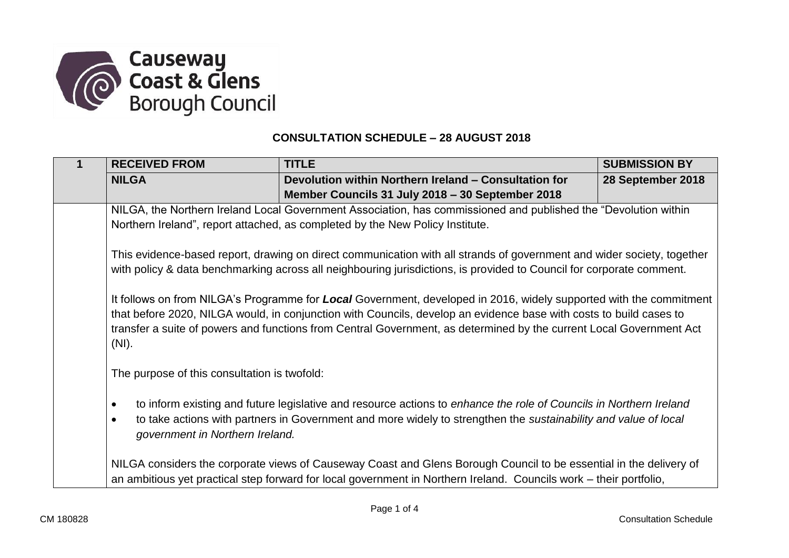

## **CONSULTATION SCHEDULE – 28 AUGUST 2018**

|  | <b>RECEIVED FROM</b>                                                                                                                                                                                                                                                                                                                                                                                                                                                                                                                                                                                                          | <b>TITLE</b>                                                                                                       | <b>SUBMISSION BY</b> |  |  |
|--|-------------------------------------------------------------------------------------------------------------------------------------------------------------------------------------------------------------------------------------------------------------------------------------------------------------------------------------------------------------------------------------------------------------------------------------------------------------------------------------------------------------------------------------------------------------------------------------------------------------------------------|--------------------------------------------------------------------------------------------------------------------|----------------------|--|--|
|  | <b>NILGA</b>                                                                                                                                                                                                                                                                                                                                                                                                                                                                                                                                                                                                                  | Devolution within Northern Ireland - Consultation for                                                              | 28 September 2018    |  |  |
|  |                                                                                                                                                                                                                                                                                                                                                                                                                                                                                                                                                                                                                               | Member Councils 31 July 2018 - 30 September 2018                                                                   |                      |  |  |
|  | NILGA, the Northern Ireland Local Government Association, has commissioned and published the "Devolution within<br>Northern Ireland", report attached, as completed by the New Policy Institute.                                                                                                                                                                                                                                                                                                                                                                                                                              |                                                                                                                    |                      |  |  |
|  |                                                                                                                                                                                                                                                                                                                                                                                                                                                                                                                                                                                                                               |                                                                                                                    |                      |  |  |
|  | This evidence-based report, drawing on direct communication with all strands of government and wider society, together<br>with policy & data benchmarking across all neighbouring jurisdictions, is provided to Council for corporate comment.<br>It follows on from NILGA's Programme for Local Government, developed in 2016, widely supported with the commitment<br>that before 2020, NILGA would, in conjunction with Councils, develop an evidence base with costs to build cases to<br>transfer a suite of powers and functions from Central Government, as determined by the current Local Government Act<br>$(NI)$ . |                                                                                                                    |                      |  |  |
|  |                                                                                                                                                                                                                                                                                                                                                                                                                                                                                                                                                                                                                               |                                                                                                                    |                      |  |  |
|  |                                                                                                                                                                                                                                                                                                                                                                                                                                                                                                                                                                                                                               |                                                                                                                    |                      |  |  |
|  |                                                                                                                                                                                                                                                                                                                                                                                                                                                                                                                                                                                                                               |                                                                                                                    |                      |  |  |
|  |                                                                                                                                                                                                                                                                                                                                                                                                                                                                                                                                                                                                                               |                                                                                                                    |                      |  |  |
|  |                                                                                                                                                                                                                                                                                                                                                                                                                                                                                                                                                                                                                               |                                                                                                                    |                      |  |  |
|  |                                                                                                                                                                                                                                                                                                                                                                                                                                                                                                                                                                                                                               |                                                                                                                    |                      |  |  |
|  | The purpose of this consultation is twofold:                                                                                                                                                                                                                                                                                                                                                                                                                                                                                                                                                                                  |                                                                                                                    |                      |  |  |
|  | to inform existing and future legislative and resource actions to enhance the role of Councils in Northern Ireland<br>$\bullet$                                                                                                                                                                                                                                                                                                                                                                                                                                                                                               |                                                                                                                    |                      |  |  |
|  | $\bullet$                                                                                                                                                                                                                                                                                                                                                                                                                                                                                                                                                                                                                     | to take actions with partners in Government and more widely to strengthen the sustainability and value of local    |                      |  |  |
|  | government in Northern Ireland.                                                                                                                                                                                                                                                                                                                                                                                                                                                                                                                                                                                               |                                                                                                                    |                      |  |  |
|  |                                                                                                                                                                                                                                                                                                                                                                                                                                                                                                                                                                                                                               |                                                                                                                    |                      |  |  |
|  | NILGA considers the corporate views of Causeway Coast and Glens Borough Council to be essential in the delivery of                                                                                                                                                                                                                                                                                                                                                                                                                                                                                                            |                                                                                                                    |                      |  |  |
|  |                                                                                                                                                                                                                                                                                                                                                                                                                                                                                                                                                                                                                               | an ambitious yet practical step forward for local government in Northern Ireland. Councils work – their portfolio, |                      |  |  |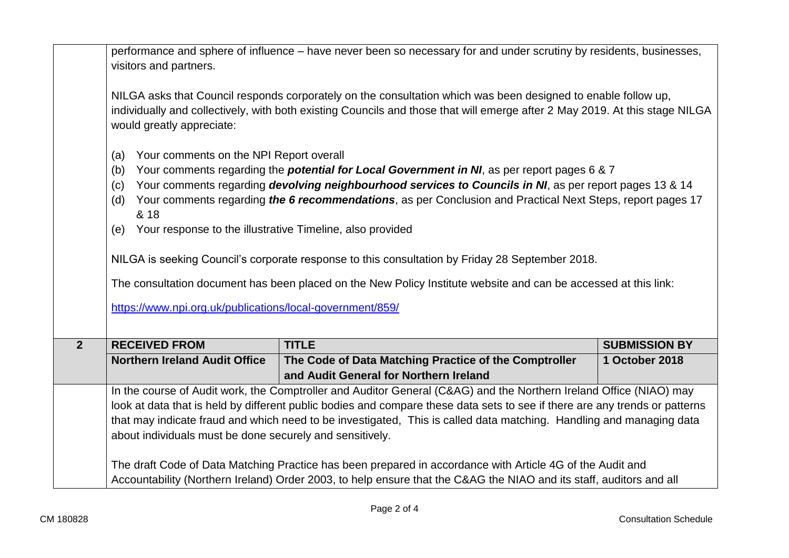|                | performance and sphere of influence – have never been so necessary for and under scrutiny by residents, businesses,<br>visitors and partners.                                                                                                                                                                                                                                                                                                                                                                                                                                                                                                                                                                    |                                                                                                               |                      |  |  |
|----------------|------------------------------------------------------------------------------------------------------------------------------------------------------------------------------------------------------------------------------------------------------------------------------------------------------------------------------------------------------------------------------------------------------------------------------------------------------------------------------------------------------------------------------------------------------------------------------------------------------------------------------------------------------------------------------------------------------------------|---------------------------------------------------------------------------------------------------------------|----------------------|--|--|
|                |                                                                                                                                                                                                                                                                                                                                                                                                                                                                                                                                                                                                                                                                                                                  | NILGA asks that Council responds corporately on the consultation which was been designed to enable follow up, |                      |  |  |
|                | individually and collectively, with both existing Councils and those that will emerge after 2 May 2019. At this stage NILGA<br>would greatly appreciate:                                                                                                                                                                                                                                                                                                                                                                                                                                                                                                                                                         |                                                                                                               |                      |  |  |
|                | Your comments on the NPI Report overall<br>(a)                                                                                                                                                                                                                                                                                                                                                                                                                                                                                                                                                                                                                                                                   |                                                                                                               |                      |  |  |
|                | Your comments regarding the <b>potential for Local Government in NI</b> , as per report pages 6 & 7<br>(b)<br>Your comments regarding devolving neighbourhood services to Councils in NI, as per report pages 13 & 14<br>(c)<br>Your comments regarding the 6 recommendations, as per Conclusion and Practical Next Steps, report pages 17<br>(d)<br>& 18<br>Your response to the illustrative Timeline, also provided<br>(e)<br>NILGA is seeking Council's corporate response to this consultation by Friday 28 September 2018.<br>The consultation document has been placed on the New Policy Institute website and can be accessed at this link:<br>https://www.npi.org.uk/publications/local-government/859/ |                                                                                                               |                      |  |  |
|                |                                                                                                                                                                                                                                                                                                                                                                                                                                                                                                                                                                                                                                                                                                                  |                                                                                                               |                      |  |  |
|                |                                                                                                                                                                                                                                                                                                                                                                                                                                                                                                                                                                                                                                                                                                                  |                                                                                                               |                      |  |  |
|                |                                                                                                                                                                                                                                                                                                                                                                                                                                                                                                                                                                                                                                                                                                                  |                                                                                                               |                      |  |  |
|                |                                                                                                                                                                                                                                                                                                                                                                                                                                                                                                                                                                                                                                                                                                                  |                                                                                                               |                      |  |  |
|                |                                                                                                                                                                                                                                                                                                                                                                                                                                                                                                                                                                                                                                                                                                                  |                                                                                                               |                      |  |  |
|                |                                                                                                                                                                                                                                                                                                                                                                                                                                                                                                                                                                                                                                                                                                                  |                                                                                                               |                      |  |  |
| $\overline{2}$ | <b>RECEIVED FROM</b>                                                                                                                                                                                                                                                                                                                                                                                                                                                                                                                                                                                                                                                                                             | <b>TITLE</b>                                                                                                  | <b>SUBMISSION BY</b> |  |  |
|                | <b>Northern Ireland Audit Office</b>                                                                                                                                                                                                                                                                                                                                                                                                                                                                                                                                                                                                                                                                             | The Code of Data Matching Practice of the Comptroller                                                         | 1 October 2018       |  |  |
|                |                                                                                                                                                                                                                                                                                                                                                                                                                                                                                                                                                                                                                                                                                                                  | and Audit General for Northern Ireland                                                                        |                      |  |  |
|                | In the course of Audit work, the Comptroller and Auditor General (C&AG) and the Northern Ireland Office (NIAO) may                                                                                                                                                                                                                                                                                                                                                                                                                                                                                                                                                                                               |                                                                                                               |                      |  |  |
|                | look at data that is held by different public bodies and compare these data sets to see if there are any trends or patterns<br>that may indicate fraud and which need to be investigated, This is called data matching. Handling and managing data<br>about individuals must be done securely and sensitively.<br>The draft Code of Data Matching Practice has been prepared in accordance with Article 4G of the Audit and                                                                                                                                                                                                                                                                                      |                                                                                                               |                      |  |  |
|                |                                                                                                                                                                                                                                                                                                                                                                                                                                                                                                                                                                                                                                                                                                                  |                                                                                                               |                      |  |  |
|                |                                                                                                                                                                                                                                                                                                                                                                                                                                                                                                                                                                                                                                                                                                                  |                                                                                                               |                      |  |  |
|                |                                                                                                                                                                                                                                                                                                                                                                                                                                                                                                                                                                                                                                                                                                                  |                                                                                                               |                      |  |  |
|                | Accountability (Northern Ireland) Order 2003, to help ensure that the C&AG the NIAO and its staff, auditors and all                                                                                                                                                                                                                                                                                                                                                                                                                                                                                                                                                                                              |                                                                                                               |                      |  |  |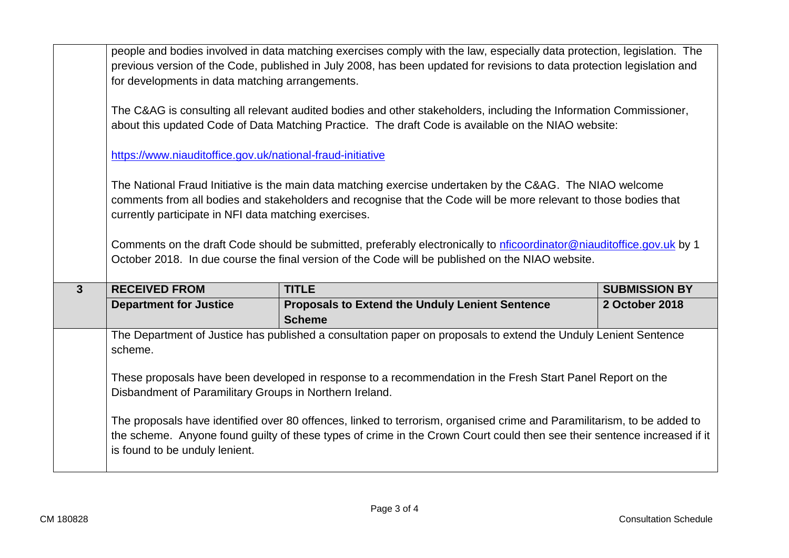|              | people and bodies involved in data matching exercises comply with the law, especially data protection, legislation. The<br>previous version of the Code, published in July 2008, has been updated for revisions to data protection legislation and<br>for developments in data matching arrangements.                                                                                                           |                                                                                                                 |                      |  |  |
|--------------|-----------------------------------------------------------------------------------------------------------------------------------------------------------------------------------------------------------------------------------------------------------------------------------------------------------------------------------------------------------------------------------------------------------------|-----------------------------------------------------------------------------------------------------------------|----------------------|--|--|
|              | The C&AG is consulting all relevant audited bodies and other stakeholders, including the Information Commissioner,<br>about this updated Code of Data Matching Practice. The draft Code is available on the NIAO website:                                                                                                                                                                                       |                                                                                                                 |                      |  |  |
|              | https://www.niauditoffice.gov.uk/national-fraud-initiative                                                                                                                                                                                                                                                                                                                                                      |                                                                                                                 |                      |  |  |
|              | The National Fraud Initiative is the main data matching exercise undertaken by the C&AG. The NIAO welcome<br>comments from all bodies and stakeholders and recognise that the Code will be more relevant to those bodies that<br>currently participate in NFI data matching exercises.<br>Comments on the draft Code should be submitted, preferably electronically to nficoordinator@niauditoffice.gov.uk by 1 |                                                                                                                 |                      |  |  |
|              |                                                                                                                                                                                                                                                                                                                                                                                                                 |                                                                                                                 |                      |  |  |
|              |                                                                                                                                                                                                                                                                                                                                                                                                                 | October 2018. In due course the final version of the Code will be published on the NIAO website.                |                      |  |  |
| $\mathbf{3}$ | <b>RECEIVED FROM</b>                                                                                                                                                                                                                                                                                                                                                                                            | <b>TITLE</b>                                                                                                    | <b>SUBMISSION BY</b> |  |  |
|              | <b>Department for Justice</b>                                                                                                                                                                                                                                                                                                                                                                                   | <b>Proposals to Extend the Unduly Lenient Sentence</b><br><b>Scheme</b>                                         | 2 October 2018       |  |  |
|              | scheme.                                                                                                                                                                                                                                                                                                                                                                                                         | The Department of Justice has published a consultation paper on proposals to extend the Unduly Lenient Sentence |                      |  |  |
|              | Disbandment of Paramilitary Groups in Northern Ireland.                                                                                                                                                                                                                                                                                                                                                         | These proposals have been developed in response to a recommendation in the Fresh Start Panel Report on the      |                      |  |  |